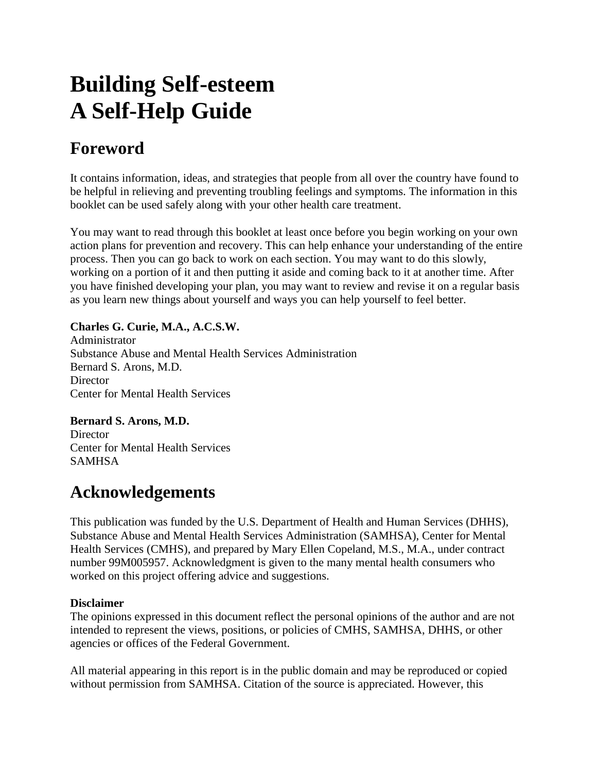# **Building Self-esteem A Self-Help Guide**

## **Foreword**

It contains information, ideas, and strategies that people from all over the country have found to be helpful in relieving and preventing troubling feelings and symptoms. The information in this booklet can be used safely along with your other health care treatment.

You may want to read through this booklet at least once before you begin working on your own action plans for prevention and recovery. This can help enhance your understanding of the entire process. Then you can go back to work on each section. You may want to do this slowly, working on a portion of it and then putting it aside and coming back to it at another time. After you have finished developing your plan, you may want to review and revise it on a regular basis as you learn new things about yourself and ways you can help yourself to feel better.

#### **Charles G. Curie, M.A., A.C.S.W.** Administrator Substance Abuse and Mental Health Services Administration Bernard S. Arons, M.D. **Director** Center for Mental Health Services

### **Bernard S. Arons, M.D.**

**Director** Center for Mental Health Services SAMHSA

### **Acknowledgements**

This publication was funded by the U.S. Department of Health and Human Services (DHHS), Substance Abuse and Mental Health Services Administration (SAMHSA), Center for Mental Health Services (CMHS), and prepared by Mary Ellen Copeland, M.S., M.A., under contract number 99M005957. Acknowledgment is given to the many mental health consumers who worked on this project offering advice and suggestions.

#### **Disclaimer**

The opinions expressed in this document reflect the personal opinions of the author and are not intended to represent the views, positions, or policies of CMHS, SAMHSA, DHHS, or other agencies or offices of the Federal Government.

All material appearing in this report is in the public domain and may be reproduced or copied without permission from SAMHSA. Citation of the source is appreciated. However, this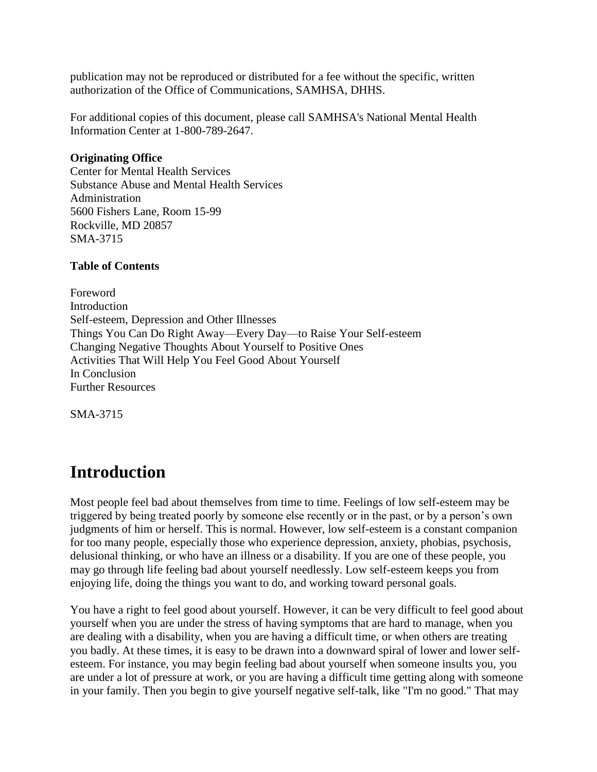publication may not be reproduced or distributed for a fee without the specific, written authorization of the Office of Communications, SAMHSA, DHHS.

For additional copies of this document, please call SAMHSA's National Mental Health Information Center at 1-800-789-2647.

#### **Originating Office**

Center for Mental Health Services Substance Abuse and Mental Health Services Administration 5600 Fishers Lane, Room 15-99 Rockville, MD 20857 SMA-3715

#### **Table of Contents**

Foreword Introduction Self-esteem, Depression and Other Illnesses Things You Can Do Right Away—Every Day—to Raise Your Self-esteem Changing Negative Thoughts About Yourself to Positive Ones Activities That Will Help You Feel Good About Yourself In Conclusion Further Resources

SMA-3715

### **Introduction**

Most people feel bad about themselves from time to time. Feelings of low self-esteem may be triggered by being treated poorly by someone else recently or in the past, or by a person's own judgments of him or herself. This is normal. However, low self-esteem is a constant companion for too many people, especially those who experience depression, anxiety, phobias, psychosis, delusional thinking, or who have an illness or a disability. If you are one of these people, you may go through life feeling bad about yourself needlessly. Low self-esteem keeps you from enjoying life, doing the things you want to do, and working toward personal goals.

You have a right to feel good about yourself. However, it can be very difficult to feel good about yourself when you are under the stress of having symptoms that are hard to manage, when you are dealing with a disability, when you are having a difficult time, or when others are treating you badly. At these times, it is easy to be drawn into a downward spiral of lower and lower selfesteem. For instance, you may begin feeling bad about yourself when someone insults you, you are under a lot of pressure at work, or you are having a difficult time getting along with someone in your family. Then you begin to give yourself negative self-talk, like "I'm no good." That may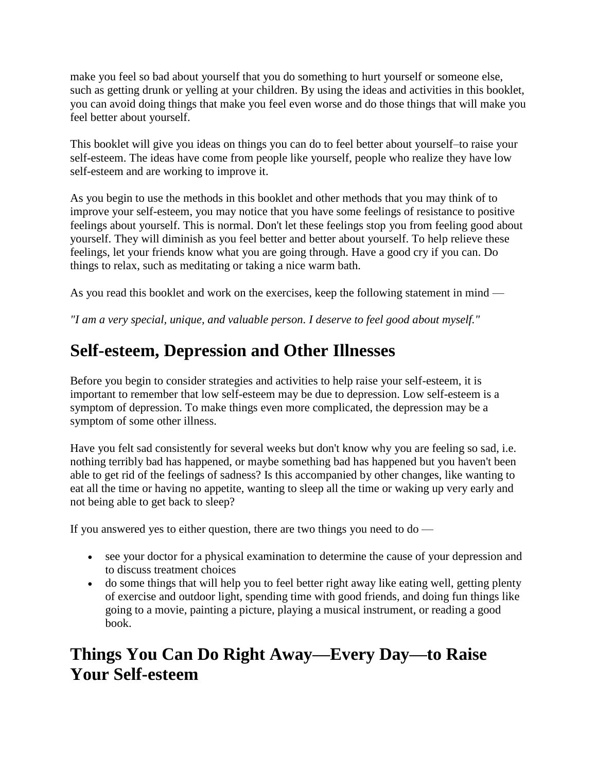make you feel so bad about yourself that you do something to hurt yourself or someone else, such as getting drunk or yelling at your children. By using the ideas and activities in this booklet, you can avoid doing things that make you feel even worse and do those things that will make you feel better about yourself.

This booklet will give you ideas on things you can do to feel better about yourself–to raise your self-esteem. The ideas have come from people like yourself, people who realize they have low self-esteem and are working to improve it.

As you begin to use the methods in this booklet and other methods that you may think of to improve your self-esteem, you may notice that you have some feelings of resistance to positive feelings about yourself. This is normal. Don't let these feelings stop you from feeling good about yourself. They will diminish as you feel better and better about yourself. To help relieve these feelings, let your friends know what you are going through. Have a good cry if you can. Do things to relax, such as meditating or taking a nice warm bath.

As you read this booklet and work on the exercises, keep the following statement in mind —

*"I am a very special, unique, and valuable person. I deserve to feel good about myself."*

### **Self-esteem, Depression and Other Illnesses**

Before you begin to consider strategies and activities to help raise your self-esteem, it is important to remember that low self-esteem may be due to depression. Low self-esteem is a symptom of depression. To make things even more complicated, the depression may be a symptom of some other illness.

Have you felt sad consistently for several weeks but don't know why you are feeling so sad, i.e. nothing terribly bad has happened, or maybe something bad has happened but you haven't been able to get rid of the feelings of sadness? Is this accompanied by other changes, like wanting to eat all the time or having no appetite, wanting to sleep all the time or waking up very early and not being able to get back to sleep?

If you answered yes to either question, there are two things you need to do —

- see your doctor for a physical examination to determine the cause of your depression and to discuss treatment choices
- do some things that will help you to feel better right away like eating well, getting plenty of exercise and outdoor light, spending time with good friends, and doing fun things like going to a movie, painting a picture, playing a musical instrument, or reading a good book.

### **Things You Can Do Right Away—Every Day—to Raise Your Self-esteem**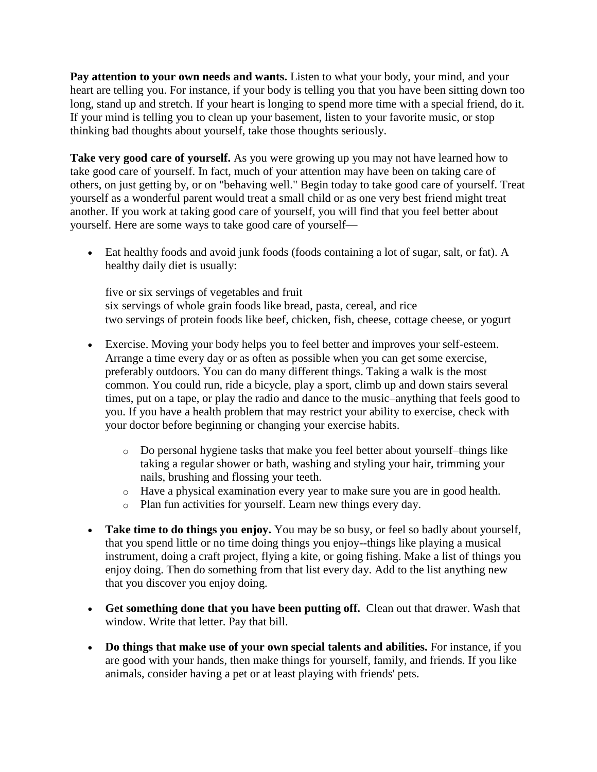**Pay attention to your own needs and wants.** Listen to what your body, your mind, and your heart are telling you. For instance, if your body is telling you that you have been sitting down too long, stand up and stretch. If your heart is longing to spend more time with a special friend, do it. If your mind is telling you to clean up your basement, listen to your favorite music, or stop thinking bad thoughts about yourself, take those thoughts seriously.

**Take very good care of yourself.** As you were growing up you may not have learned how to take good care of yourself. In fact, much of your attention may have been on taking care of others, on just getting by, or on "behaving well." Begin today to take good care of yourself. Treat yourself as a wonderful parent would treat a small child or as one very best friend might treat another. If you work at taking good care of yourself, you will find that you feel better about yourself. Here are some ways to take good care of yourself—

 Eat healthy foods and avoid junk foods (foods containing a lot of sugar, salt, or fat). A healthy daily diet is usually:

five or six servings of vegetables and fruit six servings of whole grain foods like bread, pasta, cereal, and rice two servings of protein foods like beef, chicken, fish, cheese, cottage cheese, or yogurt

- Exercise. Moving your body helps you to feel better and improves your self-esteem. Arrange a time every day or as often as possible when you can get some exercise, preferably outdoors. You can do many different things. Taking a walk is the most common. You could run, ride a bicycle, play a sport, climb up and down stairs several times, put on a tape, or play the radio and dance to the music–anything that feels good to you. If you have a health problem that may restrict your ability to exercise, check with your doctor before beginning or changing your exercise habits.
	- o Do personal hygiene tasks that make you feel better about yourself–things like taking a regular shower or bath, washing and styling your hair, trimming your nails, brushing and flossing your teeth.
	- o Have a physical examination every year to make sure you are in good health.
	- o Plan fun activities for yourself. Learn new things every day.
- **Take time to do things you enjoy.** You may be so busy, or feel so badly about yourself, that you spend little or no time doing things you enjoy--things like playing a musical instrument, doing a craft project, flying a kite, or going fishing. Make a list of things you enjoy doing. Then do something from that list every day. Add to the list anything new that you discover you enjoy doing.
- **Get something done that you have been putting off.** Clean out that drawer. Wash that window. Write that letter. Pay that bill.
- **Do things that make use of your own special talents and abilities.** For instance, if you are good with your hands, then make things for yourself, family, and friends. If you like animals, consider having a pet or at least playing with friends' pets.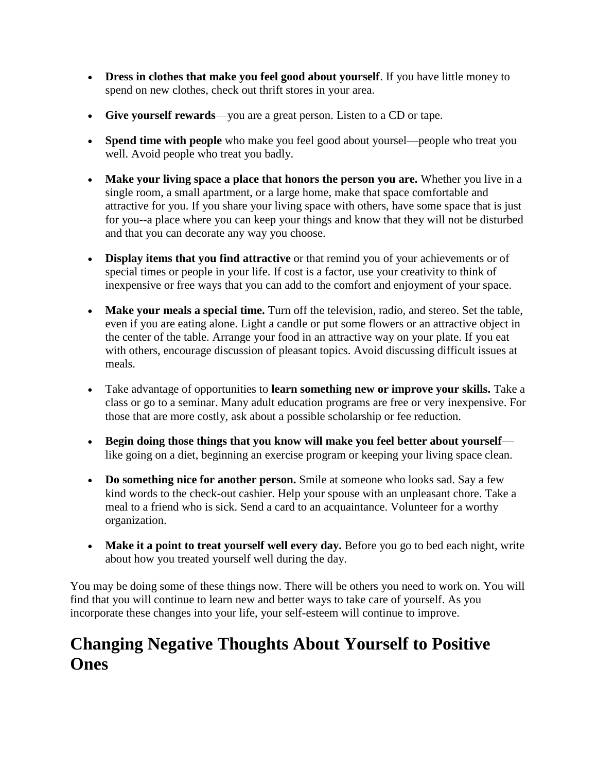- **Dress in clothes that make you feel good about yourself**. If you have little money to spend on new clothes, check out thrift stores in your area.
- **Give yourself rewards**—you are a great person. Listen to a CD or tape.
- **Spend time with people** who make you feel good about yoursel—people who treat you well. Avoid people who treat you badly.
- **Make your living space a place that honors the person you are.** Whether you live in a single room, a small apartment, or a large home, make that space comfortable and attractive for you. If you share your living space with others, have some space that is just for you--a place where you can keep your things and know that they will not be disturbed and that you can decorate any way you choose.
- **Display items that you find attractive** or that remind you of your achievements or of special times or people in your life. If cost is a factor, use your creativity to think of inexpensive or free ways that you can add to the comfort and enjoyment of your space.
- **Make your meals a special time.** Turn off the television, radio, and stereo. Set the table, even if you are eating alone. Light a candle or put some flowers or an attractive object in the center of the table. Arrange your food in an attractive way on your plate. If you eat with others, encourage discussion of pleasant topics. Avoid discussing difficult issues at meals.
- Take advantage of opportunities to **learn something new or improve your skills.** Take a class or go to a seminar. Many adult education programs are free or very inexpensive. For those that are more costly, ask about a possible scholarship or fee reduction.
- **Begin doing those things that you know will make you feel better about yourself** like going on a diet, beginning an exercise program or keeping your living space clean.
- **Do something nice for another person.** Smile at someone who looks sad. Say a few kind words to the check-out cashier. Help your spouse with an unpleasant chore. Take a meal to a friend who is sick. Send a card to an acquaintance. Volunteer for a worthy organization.
- **Make it a point to treat yourself well every day.** Before you go to bed each night, write about how you treated yourself well during the day.

You may be doing some of these things now. There will be others you need to work on. You will find that you will continue to learn new and better ways to take care of yourself. As you incorporate these changes into your life, your self-esteem will continue to improve.

### **Changing Negative Thoughts About Yourself to Positive Ones**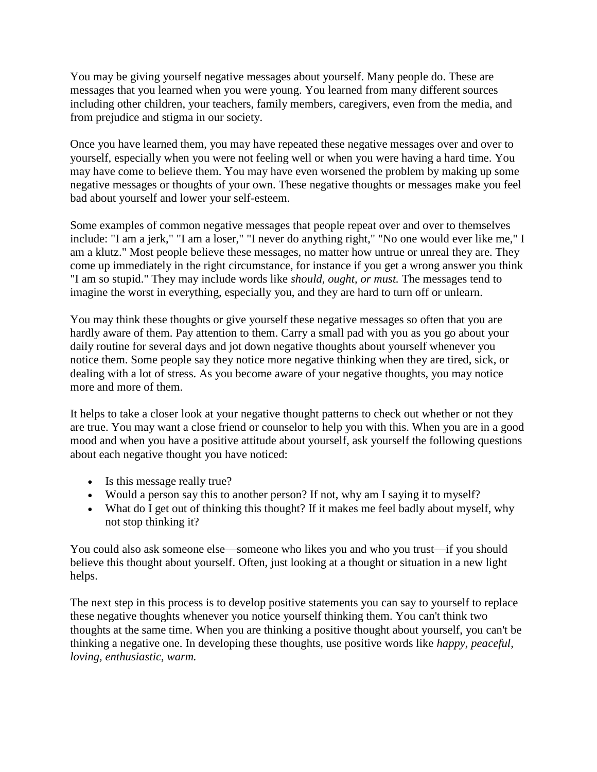You may be giving yourself negative messages about yourself. Many people do. These are messages that you learned when you were young. You learned from many different sources including other children, your teachers, family members, caregivers, even from the media, and from prejudice and stigma in our society.

Once you have learned them, you may have repeated these negative messages over and over to yourself, especially when you were not feeling well or when you were having a hard time. You may have come to believe them. You may have even worsened the problem by making up some negative messages or thoughts of your own. These negative thoughts or messages make you feel bad about yourself and lower your self-esteem.

Some examples of common negative messages that people repeat over and over to themselves include: "I am a jerk," "I am a loser," "I never do anything right," "No one would ever like me," I am a klutz." Most people believe these messages, no matter how untrue or unreal they are. They come up immediately in the right circumstance, for instance if you get a wrong answer you think "I am so stupid." They may include words like *should, ought, or must.* The messages tend to imagine the worst in everything, especially you, and they are hard to turn off or unlearn.

You may think these thoughts or give yourself these negative messages so often that you are hardly aware of them. Pay attention to them. Carry a small pad with you as you go about your daily routine for several days and jot down negative thoughts about yourself whenever you notice them. Some people say they notice more negative thinking when they are tired, sick, or dealing with a lot of stress. As you become aware of your negative thoughts, you may notice more and more of them.

It helps to take a closer look at your negative thought patterns to check out whether or not they are true. You may want a close friend or counselor to help you with this. When you are in a good mood and when you have a positive attitude about yourself, ask yourself the following questions about each negative thought you have noticed:

- Is this message really true?
- Would a person say this to another person? If not, why am I saying it to myself?
- What do I get out of thinking this thought? If it makes me feel badly about myself, why not stop thinking it?

You could also ask someone else—someone who likes you and who you trust—if you should believe this thought about yourself. Often, just looking at a thought or situation in a new light helps.

The next step in this process is to develop positive statements you can say to yourself to replace these negative thoughts whenever you notice yourself thinking them. You can't think two thoughts at the same time. When you are thinking a positive thought about yourself, you can't be thinking a negative one. In developing these thoughts, use positive words like *happy, peaceful, loving, enthusiastic, warm.*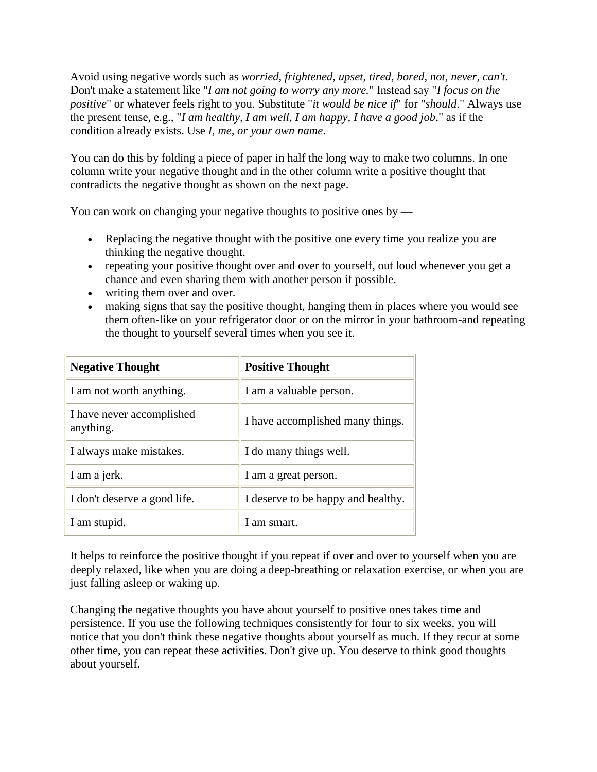Avoid using negative words such as *worried, frightened, upset, tired, bored, not, never, can't*. Don't make a statement like "*I am not going to worry any more.*" Instead say "*I focus on the positive*" or whatever feels right to you. Substitute "*it would be nice if*" for "*should*." Always use the present tense, e.g., "*I am healthy, I am well, I am happy, I have a good job*," as if the condition already exists. Use *I, me, or your own name*.

You can do this by folding a piece of paper in half the long way to make two columns. In one column write your negative thought and in the other column write a positive thought that contradicts the negative thought as shown on the next page.

You can work on changing your negative thoughts to positive ones by —

- Replacing the negative thought with the positive one every time you realize you are thinking the negative thought.
- repeating your positive thought over and over to yourself, out loud whenever you get a chance and even sharing them with another person if possible.
- writing them over and over.
- making signs that say the positive thought, hanging them in places where you would see them often-like on your refrigerator door or on the mirror in your bathroom-and repeating the thought to yourself several times when you see it.

| <b>Negative Thought</b>                | <b>Positive Thought</b>            |
|----------------------------------------|------------------------------------|
| I am not worth anything.               | I am a valuable person.            |
| I have never accomplished<br>anything. | I have accomplished many things.   |
| I always make mistakes.                | I do many things well.             |
| I am a jerk.                           | I am a great person.               |
| I don't deserve a good life.           | I deserve to be happy and healthy. |
| I am stupid.                           | I am smart.                        |

It helps to reinforce the positive thought if you repeat if over and over to yourself when you are deeply relaxed, like when you are doing a deep-breathing or relaxation exercise, or when you are just falling asleep or waking up.

Changing the negative thoughts you have about yourself to positive ones takes time and persistence. If you use the following techniques consistently for four to six weeks, you will notice that you don't think these negative thoughts about yourself as much. If they recur at some other time, you can repeat these activities. Don't give up. You deserve to think good thoughts about yourself.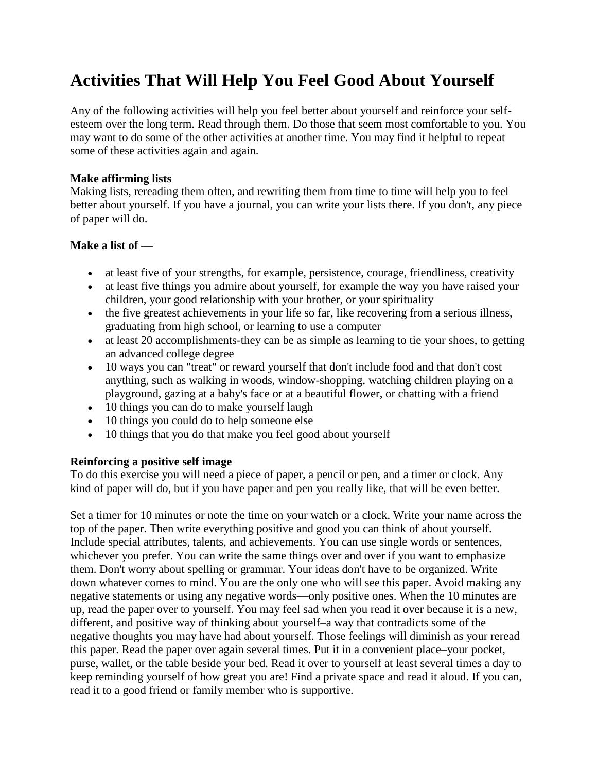### **Activities That Will Help You Feel Good About Yourself**

Any of the following activities will help you feel better about yourself and reinforce your selfesteem over the long term. Read through them. Do those that seem most comfortable to you. You may want to do some of the other activities at another time. You may find it helpful to repeat some of these activities again and again.

#### **Make affirming lists**

Making lists, rereading them often, and rewriting them from time to time will help you to feel better about yourself. If you have a journal, you can write your lists there. If you don't, any piece of paper will do.

#### **Make a list of** —

- at least five of your strengths, for example, persistence, courage, friendliness, creativity
- at least five things you admire about yourself, for example the way you have raised your children, your good relationship with your brother, or your spirituality
- the five greatest achievements in your life so far, like recovering from a serious illness, graduating from high school, or learning to use a computer
- at least 20 accomplishments-they can be as simple as learning to tie your shoes, to getting an advanced college degree
- 10 ways you can "treat" or reward yourself that don't include food and that don't cost anything, such as walking in woods, window-shopping, watching children playing on a playground, gazing at a baby's face or at a beautiful flower, or chatting with a friend
- 10 things you can do to make yourself laugh
- 10 things you could do to help someone else
- 10 things that you do that make you feel good about yourself

#### **Reinforcing a positive self image**

To do this exercise you will need a piece of paper, a pencil or pen, and a timer or clock. Any kind of paper will do, but if you have paper and pen you really like, that will be even better.

Set a timer for 10 minutes or note the time on your watch or a clock. Write your name across the top of the paper. Then write everything positive and good you can think of about yourself. Include special attributes, talents, and achievements. You can use single words or sentences, whichever you prefer. You can write the same things over and over if you want to emphasize them. Don't worry about spelling or grammar. Your ideas don't have to be organized. Write down whatever comes to mind. You are the only one who will see this paper. Avoid making any negative statements or using any negative words—only positive ones. When the 10 minutes are up, read the paper over to yourself. You may feel sad when you read it over because it is a new, different, and positive way of thinking about yourself–a way that contradicts some of the negative thoughts you may have had about yourself. Those feelings will diminish as your reread this paper. Read the paper over again several times. Put it in a convenient place–your pocket, purse, wallet, or the table beside your bed. Read it over to yourself at least several times a day to keep reminding yourself of how great you are! Find a private space and read it aloud. If you can, read it to a good friend or family member who is supportive.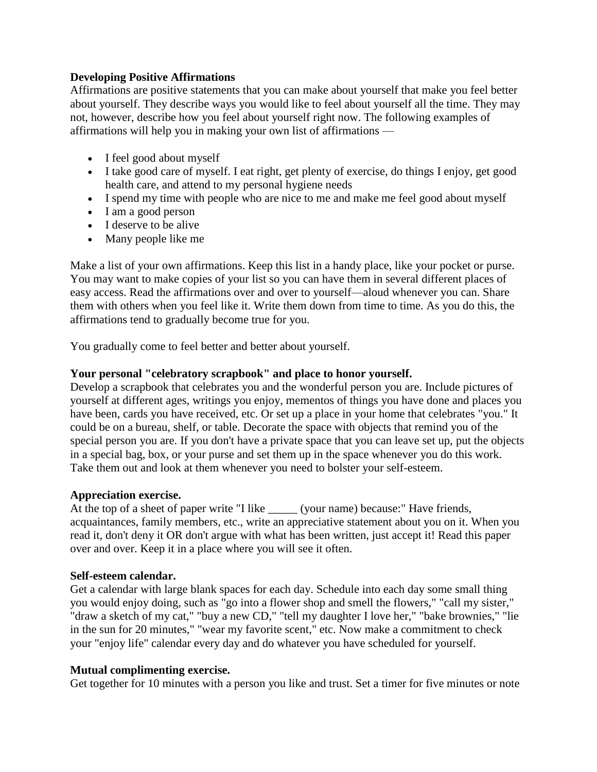#### **Developing Positive Affirmations**

Affirmations are positive statements that you can make about yourself that make you feel better about yourself. They describe ways you would like to feel about yourself all the time. They may not, however, describe how you feel about yourself right now. The following examples of affirmations will help you in making your own list of affirmations —

- I feel good about myself
- I take good care of myself. I eat right, get plenty of exercise, do things I enjoy, get good health care, and attend to my personal hygiene needs
- I spend my time with people who are nice to me and make me feel good about myself
- I am a good person
- I deserve to be alive
- Many people like me

Make a list of your own affirmations. Keep this list in a handy place, like your pocket or purse. You may want to make copies of your list so you can have them in several different places of easy access. Read the affirmations over and over to yourself—aloud whenever you can. Share them with others when you feel like it. Write them down from time to time. As you do this, the affirmations tend to gradually become true for you.

You gradually come to feel better and better about yourself.

#### **Your personal "celebratory scrapbook" and place to honor yourself.**

Develop a scrapbook that celebrates you and the wonderful person you are. Include pictures of yourself at different ages, writings you enjoy, mementos of things you have done and places you have been, cards you have received, etc. Or set up a place in your home that celebrates "you." It could be on a bureau, shelf, or table. Decorate the space with objects that remind you of the special person you are. If you don't have a private space that you can leave set up, put the objects in a special bag, box, or your purse and set them up in the space whenever you do this work. Take them out and look at them whenever you need to bolster your self-esteem.

#### **Appreciation exercise.**

At the top of a sheet of paper write "I like \_\_\_\_\_\_ (your name) because:" Have friends, acquaintances, family members, etc., write an appreciative statement about you on it. When you read it, don't deny it OR don't argue with what has been written, just accept it! Read this paper over and over. Keep it in a place where you will see it often.

#### **Self-esteem calendar.**

Get a calendar with large blank spaces for each day. Schedule into each day some small thing you would enjoy doing, such as "go into a flower shop and smell the flowers," "call my sister," "draw a sketch of my cat," "buy a new CD," "tell my daughter I love her," "bake brownies," "lie in the sun for 20 minutes," "wear my favorite scent," etc. Now make a commitment to check your "enjoy life" calendar every day and do whatever you have scheduled for yourself.

#### **Mutual complimenting exercise.**

Get together for 10 minutes with a person you like and trust. Set a timer for five minutes or note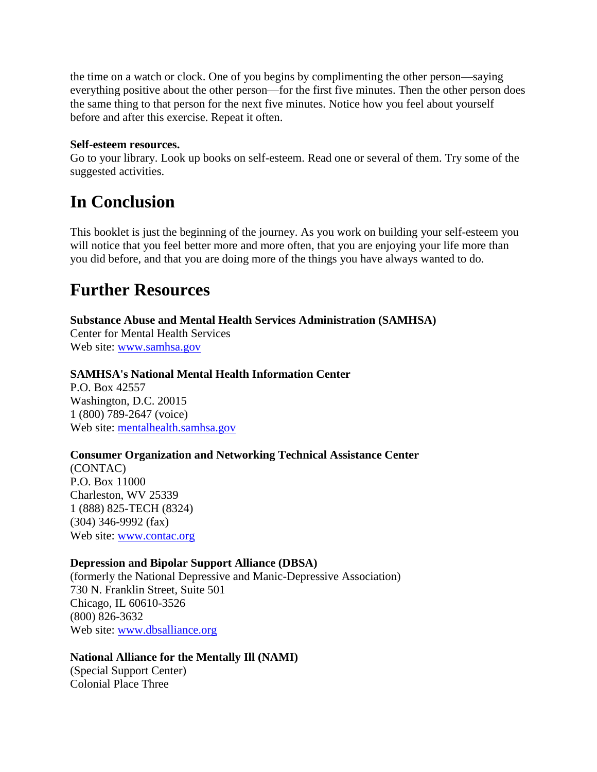the time on a watch or clock. One of you begins by complimenting the other person—saying everything positive about the other person—for the first five minutes. Then the other person does the same thing to that person for the next five minutes. Notice how you feel about yourself before and after this exercise. Repeat it often.

#### **Self-esteem resources.**

Go to your library. Look up books on self-esteem. Read one or several of them. Try some of the suggested activities.

### **In Conclusion**

This booklet is just the beginning of the journey. As you work on building your self-esteem you will notice that you feel better more and more often, that you are enjoying your life more than you did before, and that you are doing more of the things you have always wanted to do.

### **Further Resources**

**Substance Abuse and Mental Health Services Administration (SAMHSA)**

Center for Mental Health Services Web site: [www.samhsa.gov](http://mentalhealth.samhsa.gov/_scripts/redirect.asp?ID=15)

#### **SAMHSA's National Mental Health Information Center**

P.O. Box 42557 Washington, D.C. 20015 1 (800) 789-2647 (voice) Web site: [mentalhealth.samhsa.gov](http://mentalhealth.samhsa.gov/)

#### **Consumer Organization and Networking Technical Assistance Center**

(CONTAC) P.O. Box 11000 Charleston, WV 25339 1 (888) 825-TECH (8324) (304) 346-9992 (fax) Web site: [www.contac.org](http://mentalhealth.samhsa.gov/_scripts/redirect.asp?ID=813)

#### **Depression and Bipolar Support Alliance (DBSA)**

(formerly the National Depressive and Manic-Depressive Association) 730 N. Franklin Street, Suite 501 Chicago, IL 60610-3526 (800) 826-3632 Web site: [www.dbsalliance.org](http://mentalhealth.samhsa.gov/_scripts/redirect.asp?ID=182)

#### **National Alliance for the Mentally Ill (NAMI)**

(Special Support Center) Colonial Place Three